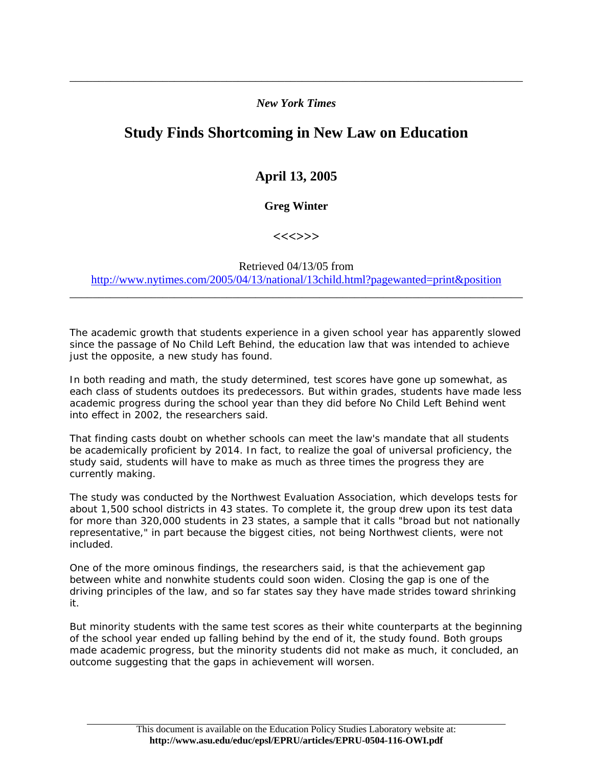#### *New York Times*

\_\_\_\_\_\_\_\_\_\_\_\_\_\_\_\_\_\_\_\_\_\_\_\_\_\_\_\_\_\_\_\_\_\_\_\_\_\_\_\_\_\_\_\_\_\_\_\_\_\_\_\_\_\_\_\_\_\_\_\_\_\_\_\_\_\_\_\_\_\_\_\_\_\_\_\_\_\_

# **Study Finds Shortcoming in New Law on Education**

# **April 13, 2005**

# **Greg Winter**

## **<<<>>>**

## Retrieved 04/13/05 from <http://www.nytimes.com/2005/04/13/national/13child.html?pagewanted=print&position>

\_\_\_\_\_\_\_\_\_\_\_\_\_\_\_\_\_\_\_\_\_\_\_\_\_\_\_\_\_\_\_\_\_\_\_\_\_\_\_\_\_\_\_\_\_\_\_\_\_\_\_\_\_\_\_\_\_\_\_\_\_\_\_\_\_\_\_\_\_\_\_\_\_\_\_\_\_\_

The academic growth that students experience in a given school year has apparently slowed since the passage of No Child Left Behind, the education law that was intended to achieve just the opposite, a new study has found.

In both reading and math, the study determined, test scores have gone up somewhat, as each class of students outdoes its predecessors. But within grades, students have made less academic progress during the school year than they did before No Child Left Behind went into effect in 2002, the researchers said.

That finding casts doubt on whether schools can meet the law's mandate that all students be academically proficient by 2014. In fact, to realize the goal of universal proficiency, the study said, students will have to make as much as three times the progress they are currently making.

The study was conducted by the Northwest Evaluation Association, which develops tests for about 1,500 school districts in 43 states. To complete it, the group drew upon its test data for more than 320,000 students in 23 states, a sample that it calls "broad but not nationally representative," in part because the biggest cities, not being Northwest clients, were not included.

One of the more ominous findings, the researchers said, is that the achievement gap between white and nonwhite students could soon widen. Closing the gap is one of the driving principles of the law, and so far states say they have made strides toward shrinking it.

But minority students with the same test scores as their white counterparts at the beginning of the school year ended up falling behind by the end of it, the study found. Both groups made academic progress, but the minority students did not make as much, it concluded, an outcome suggesting that the gaps in achievement will worsen.